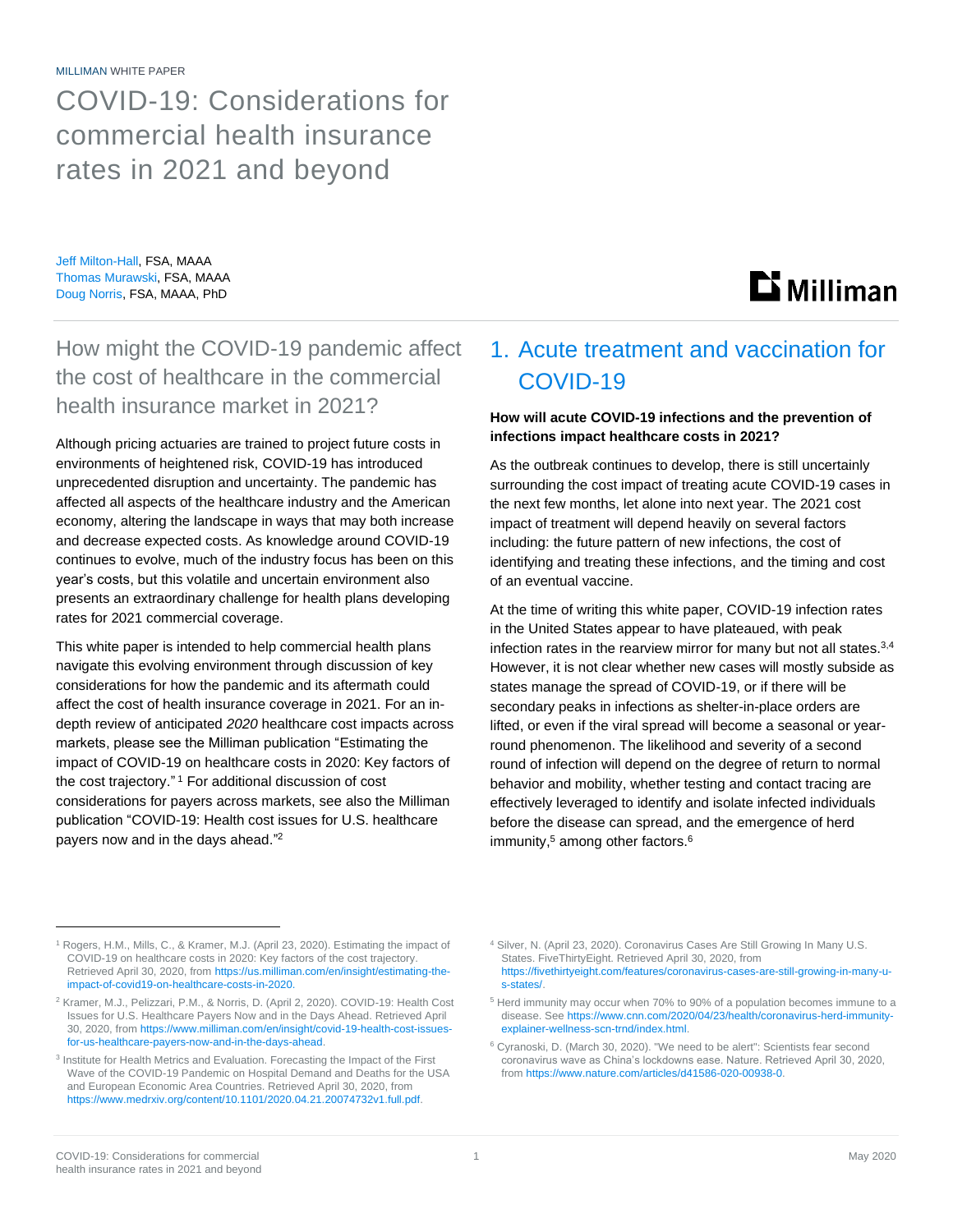MILLIMAN WHITE PAPER

COVID-19: Considerations for commercial health insurance rates in 2021 and beyond

Jeff Milton-Hall, FSA, MAAA Thomas Murawski, FSA, MAAA Doug Norris, FSA, MAAA, PhD

# **Li** Milliman

How might the COVID-19 pandemic affect the cost of healthcare in the commercial health insurance market in 2021?

Although pricing actuaries are trained to project future costs in environments of heightened risk, COVID-19 has introduced unprecedented disruption and uncertainty. The pandemic has affected all aspects of the healthcare industry and the American economy, altering the landscape in ways that may both increase and decrease expected costs. As knowledge around COVID-19 continues to evolve, much of the industry focus has been on this year's costs, but this volatile and uncertain environment also presents an extraordinary challenge for health plans developing rates for 2021 commercial coverage.

This white paper is intended to help commercial health plans navigate this evolving environment through discussion of key considerations for how the pandemic and its aftermath could affect the cost of health insurance coverage in 2021. For an indepth review of anticipated *2020* healthcare cost impacts across markets, please see the Milliman publication "Estimating the impact of COVID-19 on healthcare costs in 2020: Key factors of the cost trajectory." <sup>1</sup> For additional discussion of cost considerations for payers across markets, see also the Milliman publication "COVID-19: Health cost issues for U.S. healthcare payers now and in the days ahead."<sup>2</sup>

# 1. Acute treatment and vaccination for COVID-19

### **How will acute COVID-19 infections and the prevention of infections impact healthcare costs in 2021?**

As the outbreak continues to develop, there is still uncertainly surrounding the cost impact of treating acute COVID-19 cases in the next few months, let alone into next year. The 2021 cost impact of treatment will depend heavily on several factors including: the future pattern of new infections, the cost of identifying and treating these infections, and the timing and cost of an eventual vaccine.

At the time of writing this white paper, COVID-19 infection rates in the United States appear to have plateaued, with peak infection rates in the rearview mirror for many but not all states.<sup>3,4</sup> However, it is not clear whether new cases will mostly subside as states manage the spread of COVID-19, or if there will be secondary peaks in infections as shelter-in-place orders are lifted, or even if the viral spread will become a seasonal or yearround phenomenon. The likelihood and severity of a second round of infection will depend on the degree of return to normal behavior and mobility, whether testing and contact tracing are effectively leveraged to identify and isolate infected individuals before the disease can spread, and the emergence of herd immunity,<sup>5</sup> among other factors.<sup>6</sup>

<sup>&</sup>lt;sup>1</sup> Rogers, H.M., Mills, C., & Kramer, M.J. (April 23, 2020). Estimating the impact of COVID-19 on healthcare costs in 2020: Key factors of the cost trajectory. Retrieved April 30, 2020, from [https://us.milliman.com/en/insight/estimating-the](https://us.milliman.com/en/insight/estimating-the-impact-of-covid19-on-healthcare-costs-in-2020)[impact-of-covid19-on-healthcare-costs-in-2020.](https://us.milliman.com/en/insight/estimating-the-impact-of-covid19-on-healthcare-costs-in-2020)

<sup>2</sup> Kramer, M.J., Pelizzari, P.M., & Norris, D. (April 2, 2020). COVID-19: Health Cost Issues for U.S. Healthcare Payers Now and in the Days Ahead. Retrieved April 30, 2020, fro[m https://www.milliman.com/en/insight/covid-19-health-cost-issues](https://www.milliman.com/en/insight/covid-19-health-cost-issues-for-us-healthcare-payers-now-and-in-the-days-ahead)[for-us-healthcare-payers-now-and-in-the-days-ahead.](https://www.milliman.com/en/insight/covid-19-health-cost-issues-for-us-healthcare-payers-now-and-in-the-days-ahead)

<sup>&</sup>lt;sup>3</sup> Institute for Health Metrics and Evaluation. Forecasting the Impact of the First Wave of the COVID-19 Pandemic on Hospital Demand and Deaths for the USA and European Economic Area Countries. Retrieved April 30, 2020, from https://www.medrxiv.org/content/10.1101/2020.04.21.20074732v1.full.pdf.

<sup>&</sup>lt;sup>4</sup> Silver, N. (April 23, 2020). Coronavirus Cases Are Still Growing In Many U.S. States. FiveThirtyEight. Retrieved April 30, 2020, from [https://fivethirtyeight.com/features/coronavirus-cases-are-still-growing-in-many-u](https://fivethirtyeight.com/features/coronavirus-cases-are-still-growing-in-many-u-s-states/)[s-states/.](https://fivethirtyeight.com/features/coronavirus-cases-are-still-growing-in-many-u-s-states/)

<sup>5</sup> Herd immunity may occur when 70% to 90% of a population becomes immune to a disease. See https://www.cnn.com/2020/04/23/health/coronavirus-herd-immunityexplainer-wellness-scn-trnd/index.html.

<sup>6</sup> Cyranoski, D. (March 30, 2020). "We need to be alert": Scientists fear second coronavirus wave as China's lockdowns ease. Nature. Retrieved April 30, 2020, from https://www.nature.com/articles/d41586-020-00938-0.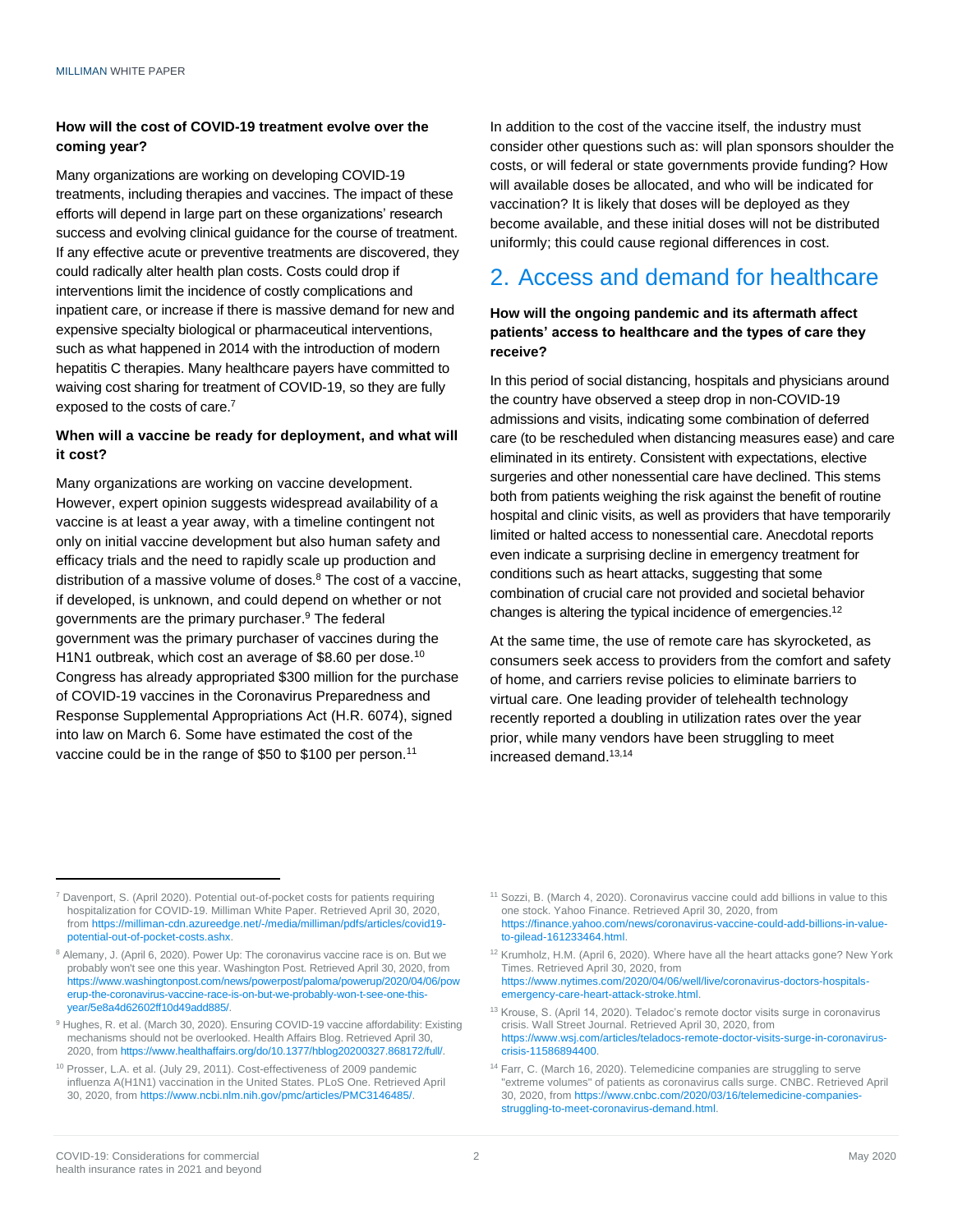### **How will the cost of COVID-19 treatment evolve over the coming year?**

Many organizations are working on developing COVID-19 treatments, including therapies and vaccines. The impact of these efforts will depend in large part on these organizations' research success and evolving clinical guidance for the course of treatment. If any effective acute or preventive treatments are discovered, they could radically alter health plan costs. Costs could drop if interventions limit the incidence of costly complications and inpatient care, or increase if there is massive demand for new and expensive specialty biological or pharmaceutical interventions, such as what happened in 2014 with the introduction of modern hepatitis C therapies. Many healthcare payers have committed to waiving cost sharing for treatment of COVID-19, so they are fully exposed to the costs of care.<sup>7</sup>

### **When will a vaccine be ready for deployment, and what will it cost?**

Many organizations are working on vaccine development. However, expert opinion suggests widespread availability of a vaccine is at least a year away, with a timeline contingent not only on initial vaccine development but also human safety and efficacy trials and the need to rapidly scale up production and distribution of a massive volume of doses.<sup>8</sup> The cost of a vaccine, if developed, is unknown, and could depend on whether or not governments are the primary purchaser. <sup>9</sup> The federal government was the primary purchaser of vaccines during the H1N1 outbreak, which cost an average of \$8.60 per dose.<sup>10</sup> Congress has already appropriated \$300 million for the purchase of COVID-19 vaccines in the Coronavirus Preparedness and Response Supplemental Appropriations Act (H.R. 6074), signed into law on March 6. Some have estimated the cost of the vaccine could be in the range of \$50 to \$100 per person.<sup>11</sup>

In addition to the cost of the vaccine itself, the industry must consider other questions such as: will plan sponsors shoulder the costs, or will federal or state governments provide funding? How will available doses be allocated, and who will be indicated for vaccination? It is likely that doses will be deployed as they become available, and these initial doses will not be distributed uniformly; this could cause regional differences in cost.

# 2. Access and demand for healthcare

**How will the ongoing pandemic and its aftermath affect patients' access to healthcare and the types of care they receive?**

In this period of social distancing, hospitals and physicians around the country have observed a steep drop in non-COVID-19 admissions and visits, indicating some combination of deferred care (to be rescheduled when distancing measures ease) and care eliminated in its entirety. Consistent with expectations, elective surgeries and other nonessential care have declined. This stems both from patients weighing the risk against the benefit of routine hospital and clinic visits, as well as providers that have temporarily limited or halted access to nonessential care. Anecdotal reports even indicate a surprising decline in emergency treatment for conditions such as heart attacks, suggesting that some combination of crucial care not provided and societal behavior changes is altering the typical incidence of emergencies.<sup>12</sup>

At the same time, the use of remote care has skyrocketed, as consumers seek access to providers from the comfort and safety of home, and carriers revise policies to eliminate barriers to virtual care. One leading provider of telehealth technology recently reported a doubling in utilization rates over the year prior, while many vendors have been struggling to meet increased demand.13,14

<sup>&</sup>lt;sup>7</sup> Davenport, S. (April 2020). Potential out-of-pocket costs for patients requiring hospitalization for COVID-19. Milliman White Paper. Retrieved April 30, 2020, from https://milliman-cdn.azureedge.net/-/media/milliman/pdfs/articles/covid19 potential-out-of-pocket-costs.ashx.

<sup>8</sup> Alemany, J. (April 6, 2020). Power Up: The coronavirus vaccine race is on. But we probably won't see one this year. Washington Post. Retrieved April 30, 2020, from [https://www.washingtonpost.com/news/powerpost/paloma/powerup/2020/04/06/pow](https://www.washingtonpost.com/news/powerpost/paloma/powerup/2020/04/06/powerup-the-coronavirus-vaccine-race-is-on-but-we-probably-won-t-see-one-this-year/5e8a4d62602ff10d49add885/) [erup-the-coronavirus-vaccine-race-is-on-but-we-probably-won-t-see-one-this](https://www.washingtonpost.com/news/powerpost/paloma/powerup/2020/04/06/powerup-the-coronavirus-vaccine-race-is-on-but-we-probably-won-t-see-one-this-year/5e8a4d62602ff10d49add885/)[year/5e8a4d62602ff10d49add885/.](https://www.washingtonpost.com/news/powerpost/paloma/powerup/2020/04/06/powerup-the-coronavirus-vaccine-race-is-on-but-we-probably-won-t-see-one-this-year/5e8a4d62602ff10d49add885/)

<sup>&</sup>lt;sup>9</sup> Hughes, R. et al. (March 30, 2020). Ensuring COVID-19 vaccine affordability: Existing mechanisms should not be overlooked. Health Affairs Blog. Retrieved April 30, 2020, from https://www.healthaffairs.org/do/10.1377/hblog20200327.868172/full/.

<sup>&</sup>lt;sup>10</sup> Prosser, L.A. et al. (July 29, 2011). Cost-effectiveness of 2009 pandemic influenza A(H1N1) vaccination in the United States. PLoS One. Retrieved April 30, 2020, fro[m https://www.ncbi.nlm.nih.gov/pmc/articles/PMC3146485/.](https://www.ncbi.nlm.nih.gov/pmc/articles/PMC3146485/)

<sup>11</sup> Sozzi, B. (March 4, 2020). Coronavirus vaccine could add billions in value to this one stock. Yahoo Finance. Retrieved April 30, 2020, from https://finance.yahoo.com/news/coronavirus-vaccine-could-add-billions-in-valueto-gilead-161233464.html.

<sup>12</sup> Krumholz, H.M. (April 6, 2020). Where have all the heart attacks gone? New York Times. Retrieved April 30, 2020, from [https://www.nytimes.com/2020/04/06/well/live/coronavirus-doctors-hospitals](https://www.nytimes.com/2020/04/06/well/live/coronavirus-doctors-hospitals-emergency-care-heart-attack-stroke.html)[emergency-care-heart-attack-stroke.html.](https://www.nytimes.com/2020/04/06/well/live/coronavirus-doctors-hospitals-emergency-care-heart-attack-stroke.html)

<sup>&</sup>lt;sup>13</sup> Krouse, S. (April 14, 2020). Teladoc's remote doctor visits surge in coronavirus crisis. Wall Street Journal. Retrieved April 30, 2020, from [https://www.wsj.com/articles/teladocs-remote-doctor-visits-surge-in-coronavirus](https://www.wsj.com/articles/teladocs-remote-doctor-visits-surge-in-coronavirus-crisis-11586894400)[crisis-11586894400.](https://www.wsj.com/articles/teladocs-remote-doctor-visits-surge-in-coronavirus-crisis-11586894400)

<sup>&</sup>lt;sup>14</sup> Farr, C. (March 16, 2020). Telemedicine companies are struggling to serve "extreme volumes" of patients as coronavirus calls surge. CNBC. Retrieved April 30, 2020, fro[m https://www.cnbc.com/2020/03/16/telemedicine-companies](https://www.cnbc.com/2020/03/16/telemedicine-companies-struggling-to-meet-coronavirus-demand.html)[struggling-to-meet-coronavirus-demand.html.](https://www.cnbc.com/2020/03/16/telemedicine-companies-struggling-to-meet-coronavirus-demand.html)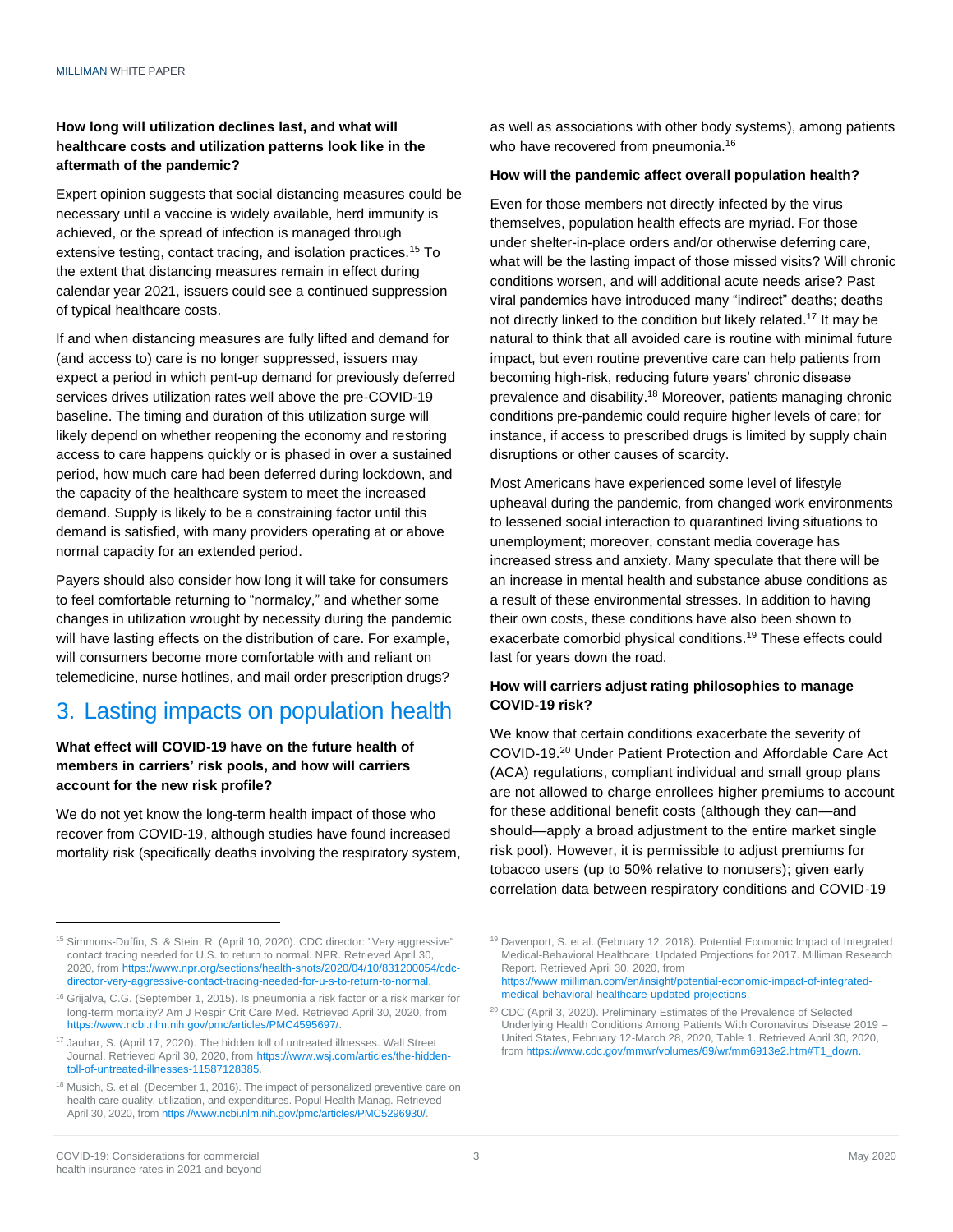#### **How long will utilization declines last, and what will healthcare costs and utilization patterns look like in the aftermath of the pandemic?**

Expert opinion suggests that social distancing measures could be necessary until a vaccine is widely available, herd immunity is achieved, or the spread of infection is managed through extensive testing, contact tracing, and isolation practices.<sup>15</sup> To the extent that distancing measures remain in effect during calendar year 2021, issuers could see a continued suppression of typical healthcare costs.

If and when distancing measures are fully lifted and demand for (and access to) care is no longer suppressed, issuers may expect a period in which pent-up demand for previously deferred services drives utilization rates well above the pre-COVID-19 baseline. The timing and duration of this utilization surge will likely depend on whether reopening the economy and restoring access to care happens quickly or is phased in over a sustained period, how much care had been deferred during lockdown, and the capacity of the healthcare system to meet the increased demand. Supply is likely to be a constraining factor until this demand is satisfied, with many providers operating at or above normal capacity for an extended period.

Payers should also consider how long it will take for consumers to feel comfortable returning to "normalcy," and whether some changes in utilization wrought by necessity during the pandemic will have lasting effects on the distribution of care. For example, will consumers become more comfortable with and reliant on telemedicine, nurse hotlines, and mail order prescription drugs?

# 3. Lasting impacts on population health

#### **What effect will COVID-19 have on the future health of members in carriers' risk pools, and how will carriers account for the new risk profile?**

We do not yet know the long-term health impact of those who recover from COVID-19, although studies have found increased mortality risk (specifically deaths involving the respiratory system, as well as associations with other body systems), among patients who have recovered from pneumonia.<sup>16</sup>

#### **How will the pandemic affect overall population health?**

Even for those members not directly infected by the virus themselves, population health effects are myriad. For those under shelter-in-place orders and/or otherwise deferring care, what will be the lasting impact of those missed visits? Will chronic conditions worsen, and will additional acute needs arise? Past viral pandemics have introduced many "indirect" deaths; deaths not directly linked to the condition but likely related.<sup>17</sup> It may be natural to think that all avoided care is routine with minimal future impact, but even routine preventive care can help patients from becoming high-risk, reducing future years' chronic disease prevalence and disability. <sup>18</sup> Moreover, patients managing chronic conditions pre-pandemic could require higher levels of care; for instance, if access to prescribed drugs is limited by supply chain disruptions or other causes of scarcity.

Most Americans have experienced some level of lifestyle upheaval during the pandemic, from changed work environments to lessened social interaction to quarantined living situations to unemployment; moreover, constant media coverage has increased stress and anxiety. Many speculate that there will be an increase in mental health and substance abuse conditions as a result of these environmental stresses. In addition to having their own costs, these conditions have also been shown to exacerbate comorbid physical conditions.<sup>19</sup> These effects could last for years down the road.

### **How will carriers adjust rating philosophies to manage COVID-19 risk?**

We know that certain conditions exacerbate the severity of COVID-19. <sup>20</sup> Under Patient Protection and Affordable Care Act (ACA) regulations, compliant individual and small group plans are not allowed to charge enrollees higher premiums to account for these additional benefit costs (although they can—and should—apply a broad adjustment to the entire market single risk pool). However, it is permissible to adjust premiums for tobacco users (up to 50% relative to nonusers); given early correlation data between respiratory conditions and COVID-19

<sup>&</sup>lt;sup>15</sup> Simmons-Duffin, S. & Stein, R. (April 10, 2020). CDC director: "Very aggressive" contact tracing needed for U.S. to return to normal. NPR. Retrieved April 30, 2020, fro[m https://www.npr.org/sections/health-shots/2020/04/10/831200054/cdc](https://www.npr.org/sections/health-shots/2020/04/10/831200054/cdc-director-very-aggressive-contact-tracing-needed-for-u-s-to-return-to-normal)[director-very-aggressive-contact-tracing-needed-for-u-s-to-return-to-normal.](https://www.npr.org/sections/health-shots/2020/04/10/831200054/cdc-director-very-aggressive-contact-tracing-needed-for-u-s-to-return-to-normal)

<sup>&</sup>lt;sup>16</sup> Grijalva, C.G. (September 1, 2015). Is pneumonia a risk factor or a risk marker for long-term mortality? Am J Respir Crit Care Med. Retrieved April 30, 2020, from [https://www.ncbi.nlm.nih.gov/pmc/articles/PMC4595697/.](https://www.ncbi.nlm.nih.gov/pmc/articles/PMC4595697/)

<sup>&</sup>lt;sup>17</sup> Jauhar, S. (April 17, 2020). The hidden toll of untreated illnesses. Wall Street Journal. Retrieved April 30, 2020, from [https://www.wsj.com/articles/the-hidden](https://www.wsj.com/articles/the-hidden-toll-of-untreated-illnesses-11587128385)[toll-of-untreated-illnesses-11587128385.](https://www.wsj.com/articles/the-hidden-toll-of-untreated-illnesses-11587128385)

<sup>&</sup>lt;sup>18</sup> Musich, S. et al. (December 1, 2016). The impact of personalized preventive care on health care quality, utilization, and expenditures. Popul Health Manag. Retrieved April 30, 2020, fro[m https://www.ncbi.nlm.nih.gov/pmc/articles/PMC5296930/.](https://www.ncbi.nlm.nih.gov/pmc/articles/PMC5296930/)

<sup>19</sup> Davenport, S. et al. (February 12, 2018). Potential Economic Impact of Integrated Medical-Behavioral Healthcare: Updated Projections for 2017. Milliman Research Report. Retrieved April 30, 2020, from [https://www.milliman.com/en/insight/potential-economic-impact-of-integrated](https://www.milliman.com/en/insight/potential-economic-impact-of-integrated-medical-behavioral-healthcare-updated-projections)[medical-behavioral-healthcare-updated-projections.](https://www.milliman.com/en/insight/potential-economic-impact-of-integrated-medical-behavioral-healthcare-updated-projections)

<sup>20</sup> CDC (April 3, 2020). Preliminary Estimates of the Prevalence of Selected Underlying Health Conditions Among Patients With Coronavirus Disease 2019 – United States, February 12-March 28, 2020, Table 1. Retrieved April 30, 2020, fro[m https://www.cdc.gov/mmwr/volumes/69/wr/mm6913e2.htm#T1\\_down.](https://www.cdc.gov/mmwr/volumes/69/wr/mm6913e2.htm#T1_down)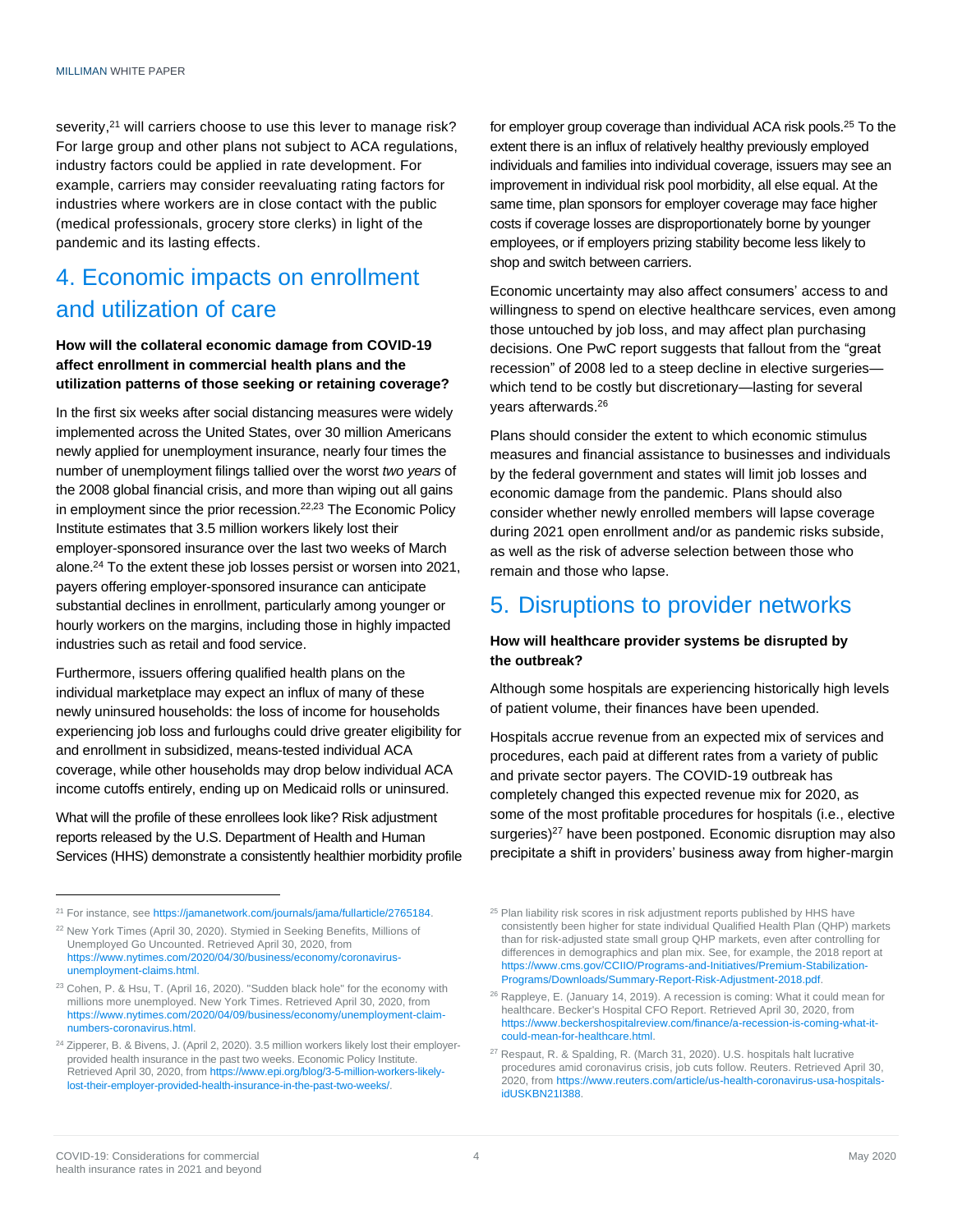severity,<sup>21</sup> will carriers choose to use this lever to manage risk? For large group and other plans not subject to ACA regulations, industry factors could be applied in rate development. For example, carriers may consider reevaluating rating factors for industries where workers are in close contact with the public (medical professionals, grocery store clerks) in light of the pandemic and its lasting effects.

# 4. Economic impacts on enrollment and utilization of care

#### **How will the collateral economic damage from COVID-19 affect enrollment in commercial health plans and the utilization patterns of those seeking or retaining coverage?**

In the first six weeks after social distancing measures were widely implemented across the United States, over 30 million Americans newly applied for unemployment insurance, nearly four times the number of unemployment filings tallied over the worst *two years* of the 2008 global financial crisis, and more than wiping out all gains in employment since the prior recession.<sup>22,23</sup> The Economic Policy Institute estimates that 3.5 million workers likely lost their employer-sponsored insurance over the last two weeks of March alone.<sup>24</sup> To the extent these job losses persist or worsen into 2021, payers offering employer-sponsored insurance can anticipate substantial declines in enrollment, particularly among younger or hourly workers on the margins, including those in highly impacted industries such as retail and food service.

Furthermore, issuers offering qualified health plans on the individual marketplace may expect an influx of many of these newly uninsured households: the loss of income for households experiencing job loss and furloughs could drive greater eligibility for and enrollment in subsidized, means-tested individual ACA coverage, while other households may drop below individual ACA income cutoffs entirely, ending up on Medicaid rolls or uninsured.

What will the profile of these enrollees look like? Risk adjustment reports released by the U.S. Department of Health and Human Services (HHS) demonstrate a consistently healthier morbidity profile for employer group coverage than individual ACA risk pools.<sup>25</sup> To the extent there is an influx of relatively healthy previously employed individuals and families into individual coverage, issuers may see an improvement in individual risk pool morbidity, all else equal. At the same time, plan sponsors for employer coverage may face higher costs if coverage losses are disproportionately borne by younger employees, or if employers prizing stability become less likely to shop and switch between carriers.

Economic uncertainty may also affect consumers' access to and willingness to spend on elective healthcare services, even among those untouched by job loss, and may affect plan purchasing decisions. One PwC report suggests that fallout from the "great recession" of 2008 led to a steep decline in elective surgeries which tend to be costly but discretionary—lasting for several years afterwards.<sup>26</sup>

Plans should consider the extent to which economic stimulus measures and financial assistance to businesses and individuals by the federal government and states will limit job losses and economic damage from the pandemic. Plans should also consider whether newly enrolled members will lapse coverage during 2021 open enrollment and/or as pandemic risks subside, as well as the risk of adverse selection between those who remain and those who lapse.

### 5. Disruptions to provider networks

#### **How will healthcare provider systems be disrupted by the outbreak?**

Although some hospitals are experiencing historically high levels of patient volume, their finances have been upended.

Hospitals accrue revenue from an expected mix of services and procedures, each paid at different rates from a variety of public and private sector payers. The COVID-19 outbreak has completely changed this expected revenue mix for 2020, as some of the most profitable procedures for hospitals (i.e., elective surgeries)<sup>27</sup> have been postponed. Economic disruption may also precipitate a shift in providers' business away from higher-margin

<sup>&</sup>lt;sup>21</sup> For instance, se[e https://jamanetwork.com/journals/jama/fullarticle/2765184.](https://jamanetwork.com/journals/jama/fullarticle/2765184)

<sup>&</sup>lt;sup>22</sup> New York Times (April 30, 2020). Stymied in Seeking Benefits, Millions of Unemployed Go Uncounted. Retrieved April 30, 2020, from [https://www.nytimes.com/2020/04/30/business/economy/coronavirus](https://www.nytimes.com/2020/04/30/business/economy/coronavirus-unemployment-claims.html)[unemployment-claims.html.](https://www.nytimes.com/2020/04/30/business/economy/coronavirus-unemployment-claims.html)

<sup>23</sup> Cohen, P. & Hsu, T. (April 16, 2020). "Sudden black hole" for the economy with millions more unemployed. New York Times. Retrieved April 30, 2020, from [https://www.nytimes.com/2020/04/09/business/economy/unemployment-claim](https://www.nytimes.com/2020/04/09/business/economy/unemployment-claim-numbers-coronavirus.html)[numbers-coronavirus.html.](https://www.nytimes.com/2020/04/09/business/economy/unemployment-claim-numbers-coronavirus.html)

<sup>&</sup>lt;sup>24</sup> Zipperer, B. & Bivens, J. (April 2, 2020). 3.5 million workers likely lost their employerprovided health insurance in the past two weeks. Economic Policy Institute. Retrieved April 30, 2020, fro[m https://www.epi.org/blog/3-5-million-workers-likely](https://www.epi.org/blog/3-5-million-workers-likely-lost-their-employer-provided-health-insurance-in-the-past-two-weeks/)[lost-their-employer-provided-health-insurance-in-the-past-two-weeks/.](https://www.epi.org/blog/3-5-million-workers-likely-lost-their-employer-provided-health-insurance-in-the-past-two-weeks/)

<sup>&</sup>lt;sup>25</sup> Plan liability risk scores in risk adjustment reports published by HHS have consistently been higher for state individual Qualified Health Plan (QHP) markets than for risk-adjusted state small group QHP markets, even after controlling for differences in demographics and plan mix. See, for example, the 2018 report at [https://www.cms.gov/CCIIO/Programs-and-Initiatives/Premium-Stabilization-](https://www.cms.gov/CCIIO/Programs-and-Initiatives/Premium-Stabilization-Programs/Downloads/Summary-Report-Risk-Adjustment-2018.pdf)[Programs/Downloads/Summary-Report-Risk-Adjustment-2018.pdf.](https://www.cms.gov/CCIIO/Programs-and-Initiatives/Premium-Stabilization-Programs/Downloads/Summary-Report-Risk-Adjustment-2018.pdf)

<sup>&</sup>lt;sup>26</sup> Rappleye, E. (January 14, 2019). A recession is coming: What it could mean for healthcare. Becker's Hospital CFO Report. Retrieved April 30, 2020, from [https://www.beckershospitalreview.com/finance/a-recession-is-coming-what-it](https://www.beckershospitalreview.com/finance/a-recession-is-coming-what-it-could-mean-for-healthcare.html)[could-mean-for-healthcare.html.](https://www.beckershospitalreview.com/finance/a-recession-is-coming-what-it-could-mean-for-healthcare.html)

<sup>&</sup>lt;sup>27</sup> Respaut, R. & Spalding, R. (March 31, 2020). U.S. hospitals halt lucrative procedures amid coronavirus crisis, job cuts follow. Reuters. Retrieved April 30, 2020, from https://www.reuters.com/article/us-health-coronavirus-usa-hospitalsidUSKBN21I388.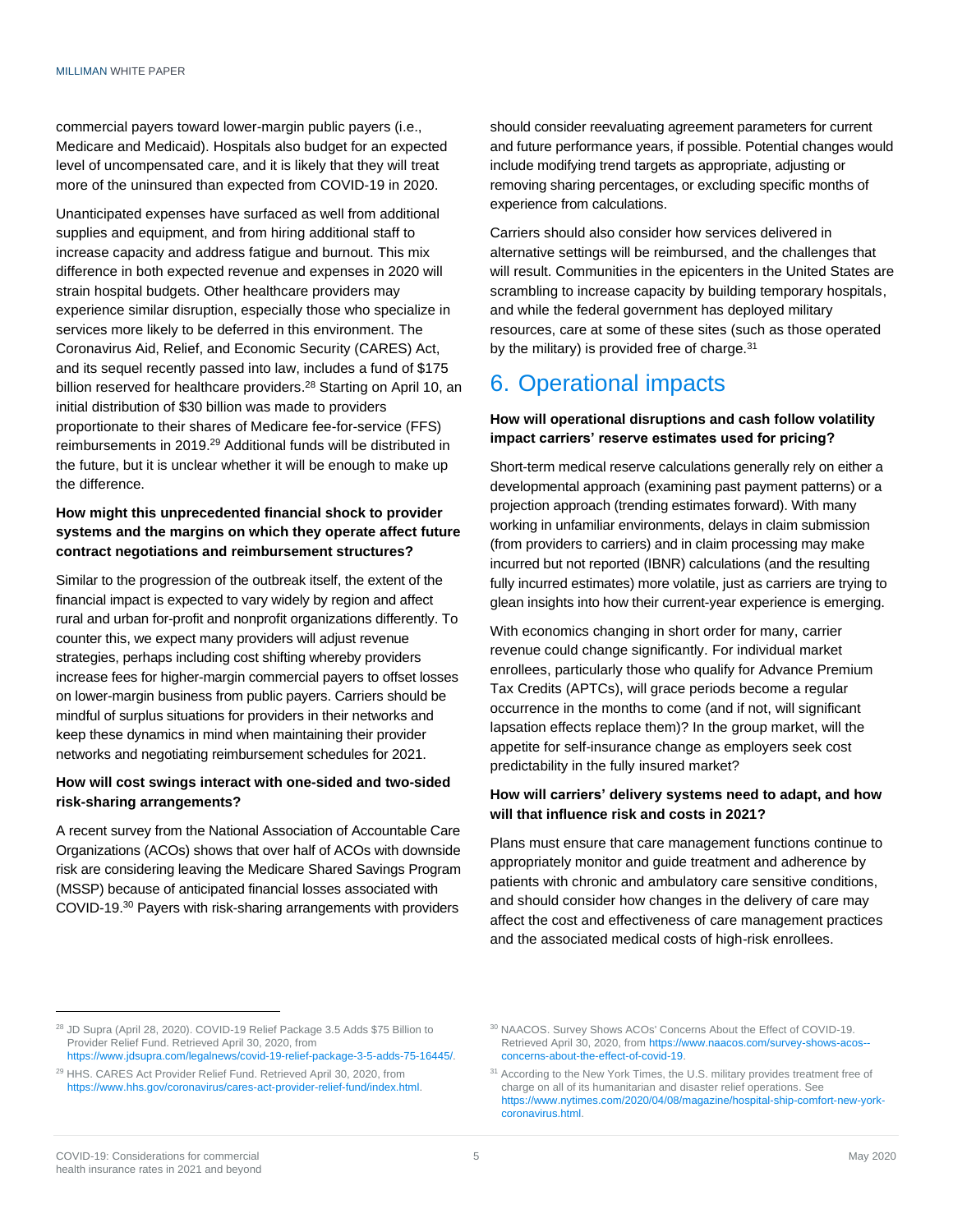commercial payers toward lower-margin public payers (i.e., Medicare and Medicaid). Hospitals also budget for an expected level of uncompensated care, and it is likely that they will treat more of the uninsured than expected from COVID-19 in 2020.

Unanticipated expenses have surfaced as well from additional supplies and equipment, and from hiring additional staff to increase capacity and address fatigue and burnout. This mix difference in both expected revenue and expenses in 2020 will strain hospital budgets. Other healthcare providers may experience similar disruption, especially those who specialize in services more likely to be deferred in this environment. The Coronavirus Aid, Relief, and Economic Security (CARES) Act, and its sequel recently passed into law, includes a fund of \$175 billion reserved for healthcare providers.<sup>28</sup> Starting on April 10, an initial distribution of \$30 billion was made to providers proportionate to their shares of Medicare fee-for-service (FFS) reimbursements in 2019. <sup>29</sup> Additional funds will be distributed in the future, but it is unclear whether it will be enough to make up the difference.

### **How might this unprecedented financial shock to provider systems and the margins on which they operate affect future contract negotiations and reimbursement structures?**

Similar to the progression of the outbreak itself, the extent of the financial impact is expected to vary widely by region and affect rural and urban for-profit and nonprofit organizations differently. To counter this, we expect many providers will adjust revenue strategies, perhaps including cost shifting whereby providers increase fees for higher-margin commercial payers to offset losses on lower-margin business from public payers. Carriers should be mindful of surplus situations for providers in their networks and keep these dynamics in mind when maintaining their provider networks and negotiating reimbursement schedules for 2021.

#### **How will cost swings interact with one-sided and two-sided risk-sharing arrangements?**

A recent survey from the National Association of Accountable Care Organizations (ACOs) shows that over half of ACOs with downside risk are considering leaving the Medicare Shared Savings Program (MSSP) because of anticipated financial losses associated with COVID-19.<sup>30</sup> Payers with risk-sharing arrangements with providers

should consider reevaluating agreement parameters for current and future performance years, if possible. Potential changes would include modifying trend targets as appropriate, adjusting or removing sharing percentages, or excluding specific months of experience from calculations.

Carriers should also consider how services delivered in alternative settings will be reimbursed, and the challenges that will result. Communities in the epicenters in the United States are scrambling to increase capacity by building temporary hospitals, and while the federal government has deployed military resources, care at some of these sites (such as those operated by the military) is provided free of charge. $31$ 

# 6. Operational impacts

#### **How will operational disruptions and cash follow volatility impact carriers' reserve estimates used for pricing?**

Short-term medical reserve calculations generally rely on either a developmental approach (examining past payment patterns) or a projection approach (trending estimates forward). With many working in unfamiliar environments, delays in claim submission (from providers to carriers) and in claim processing may make incurred but not reported (IBNR) calculations (and the resulting fully incurred estimates) more volatile, just as carriers are trying to glean insights into how their current-year experience is emerging.

With economics changing in short order for many, carrier revenue could change significantly. For individual market enrollees, particularly those who qualify for Advance Premium Tax Credits (APTCs), will grace periods become a regular occurrence in the months to come (and if not, will significant lapsation effects replace them)? In the group market, will the appetite for self-insurance change as employers seek cost predictability in the fully insured market?

#### **How will carriers' delivery systems need to adapt, and how will that influence risk and costs in 2021?**

Plans must ensure that care management functions continue to appropriately monitor and guide treatment and adherence by patients with chronic and ambulatory care sensitive conditions, and should consider how changes in the delivery of care may affect the cost and effectiveness of care management practices and the associated medical costs of high-risk enrollees.

<sup>28</sup> JD Supra (April 28, 2020). COVID-19 Relief Package 3.5 Adds \$75 Billion to Provider Relief Fund. Retrieved April 30, 2020, from

https://www.jdsupra.com/legalnews/covid-19-relief-package-3-5-adds-75-16445/.

<sup>29</sup> HHS. CARES Act Provider Relief Fund. Retrieved April 30, 2020, from https://www.hhs.gov/coronavirus/cares-act-provider-relief-fund/index.html.

<sup>30</sup> NAACOS. Survey Shows ACOs' Concerns About the Effect of COVID-19. Retrieved April 30, 2020, from https://www.naacos.com/survey-shows-acos- concerns-about-the-effect-of-covid-19.

<sup>&</sup>lt;sup>31</sup> According to the New York Times, the U.S. military provides treatment free of charge on all of its humanitarian and disaster relief operations. See [https://www.nytimes.com/2020/04/08/magazine/hospital-ship-comfort-new-york](https://www.nytimes.com/2020/04/08/magazine/hospital-ship-comfort-new-york-coronavirus.html)[coronavirus.html.](https://www.nytimes.com/2020/04/08/magazine/hospital-ship-comfort-new-york-coronavirus.html)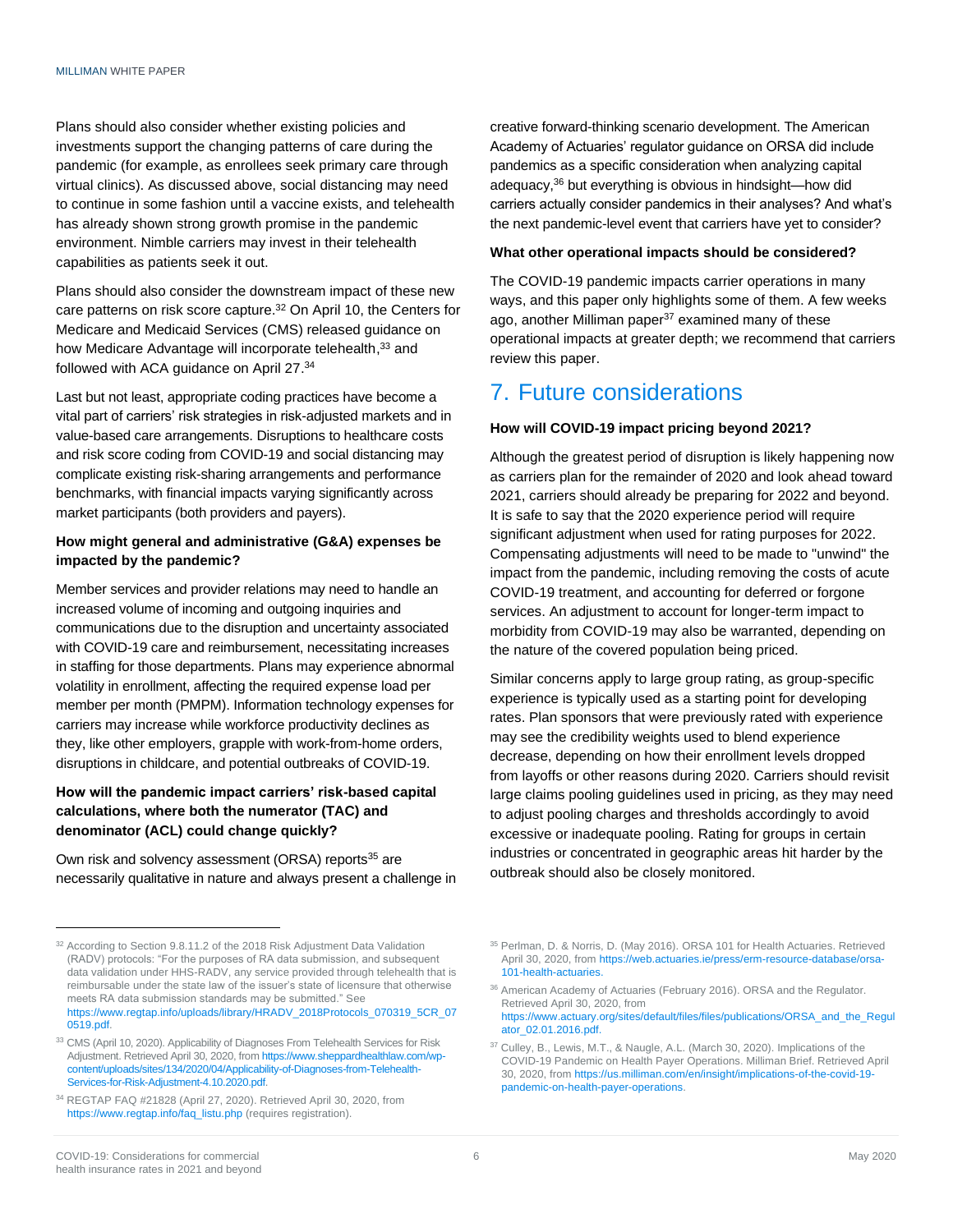Plans should also consider whether existing policies and investments support the changing patterns of care during the pandemic (for example, as enrollees seek primary care through virtual clinics). As discussed above, social distancing may need to continue in some fashion until a vaccine exists, and telehealth has already shown strong growth promise in the pandemic environment. Nimble carriers may invest in their telehealth capabilities as patients seek it out.

Plans should also consider the downstream impact of these new care patterns on risk score capture.<sup>32</sup> On April 10, the Centers for Medicare and Medicaid Services (CMS) released guidance on how Medicare Advantage will incorporate telehealth, 33 and followed with ACA guidance on April 27.<sup>34</sup>

Last but not least, appropriate coding practices have become a vital part of carriers' risk strategies in risk-adjusted markets and in value-based care arrangements. Disruptions to healthcare costs and risk score coding from COVID-19 and social distancing may complicate existing risk-sharing arrangements and performance benchmarks, with financial impacts varying significantly across market participants (both providers and payers).

#### **How might general and administrative (G&A) expenses be impacted by the pandemic?**

Member services and provider relations may need to handle an increased volume of incoming and outgoing inquiries and communications due to the disruption and uncertainty associated with COVID-19 care and reimbursement, necessitating increases in staffing for those departments. Plans may experience abnormal volatility in enrollment, affecting the required expense load per member per month (PMPM). Information technology expenses for carriers may increase while workforce productivity declines as they, like other employers, grapple with work-from-home orders, disruptions in childcare, and potential outbreaks of COVID-19.

#### **How will the pandemic impact carriers' risk-based capital calculations, where both the numerator (TAC) and denominator (ACL) could change quickly?**

Own risk and solvency assessment (ORSA) reports<sup>35</sup> are necessarily qualitative in nature and always present a challenge in creative forward-thinking scenario development. The American Academy of Actuaries' regulator guidance on ORSA did include pandemics as a specific consideration when analyzing capital adequacy, <sup>36</sup> but everything is obvious in hindsight—how did carriers actually consider pandemics in their analyses? And what's the next pandemic-level event that carriers have yet to consider?

#### **What other operational impacts should be considered?**

The COVID-19 pandemic impacts carrier operations in many ways, and this paper only highlights some of them. A few weeks ago, another Milliman paper<sup>37</sup> examined many of these operational impacts at greater depth; we recommend that carriers review this paper.

### 7. Future considerations

#### **How will COVID-19 impact pricing beyond 2021?**

Although the greatest period of disruption is likely happening now as carriers plan for the remainder of 2020 and look ahead toward 2021, carriers should already be preparing for 2022 and beyond. It is safe to say that the 2020 experience period will require significant adjustment when used for rating purposes for 2022. Compensating adjustments will need to be made to "unwind" the impact from the pandemic, including removing the costs of acute COVID-19 treatment, and accounting for deferred or forgone services. An adjustment to account for longer-term impact to morbidity from COVID-19 may also be warranted, depending on the nature of the covered population being priced.

Similar concerns apply to large group rating, as group-specific experience is typically used as a starting point for developing rates. Plan sponsors that were previously rated with experience may see the credibility weights used to blend experience decrease, depending on how their enrollment levels dropped from layoffs or other reasons during 2020. Carriers should revisit large claims pooling guidelines used in pricing, as they may need to adjust pooling charges and thresholds accordingly to avoid excessive or inadequate pooling. Rating for groups in certain industries or concentrated in geographic areas hit harder by the outbreak should also be closely monitored.

<sup>&</sup>lt;sup>32</sup> According to Section 9.8.11.2 of the 2018 Risk Adjustment Data Validation (RADV) protocols: "For the purposes of RA data submission, and subsequent data validation under HHS-RADV, any service provided through telehealth that is reimbursable under the state law of the issuer's state of licensure that otherwise meets RA data submission standards may be submitted." See [https://www.regtap.info/uploads/library/HRADV\\_2018Protocols\\_070319\\_5CR\\_07](https://www.regtap.info/uploads/library/HRADV_2018Protocols_070319_5CR_070519.pdf) [0519.pdf.](https://www.regtap.info/uploads/library/HRADV_2018Protocols_070319_5CR_070519.pdf)

<sup>&</sup>lt;sup>33</sup> CMS (April 10, 2020). Applicability of Diagnoses From Telehealth Services for Risk Adjustment. Retrieved April 30, 2020, fro[m https://www.sheppardhealthlaw.com/wp](https://www.sheppardhealthlaw.com/wp-content/uploads/sites/134/2020/04/Applicability-of-Diagnoses-from-Telehealth-Services-for-Risk-Adjustment-4.10.2020.pdf)[content/uploads/sites/134/2020/04/Applicability-of-Diagnoses-from-Telehealth-](https://www.sheppardhealthlaw.com/wp-content/uploads/sites/134/2020/04/Applicability-of-Diagnoses-from-Telehealth-Services-for-Risk-Adjustment-4.10.2020.pdf)[Services-for-Risk-Adjustment-4.10.2020.pdf.](https://www.sheppardhealthlaw.com/wp-content/uploads/sites/134/2020/04/Applicability-of-Diagnoses-from-Telehealth-Services-for-Risk-Adjustment-4.10.2020.pdf)

<sup>34</sup> REGTAP FAQ #21828 (April 27, 2020). Retrieved April 30, 2020, from [https://www.regtap.info/faq\\_listu.php](https://www.regtap.info/faq_listu.php) (requires registration).

<sup>35</sup> Perlman, D. & Norris, D. (May 2016). ORSA 101 for Health Actuaries. Retrieved April 30, 2020, fro[m https://web.actuaries.ie/press/erm-resource-database/orsa-](https://web.actuaries.ie/press/erm-resource-database/orsa-101-health-actuaries)[101-health-actuaries.](https://web.actuaries.ie/press/erm-resource-database/orsa-101-health-actuaries)

<sup>&</sup>lt;sup>36</sup> American Academy of Actuaries (February 2016). ORSA and the Regulator. Retrieved April 30, 2020, from [https://www.actuary.org/sites/default/files/files/publications/ORSA\\_and\\_the\\_Regul](https://www.actuary.org/sites/default/files/files/publications/ORSA_and_the_Regulator_02.01.2016.pdf) [ator\\_02.01.2016.pdf.](https://www.actuary.org/sites/default/files/files/publications/ORSA_and_the_Regulator_02.01.2016.pdf)

<sup>37</sup> Culley, B., Lewis, M.T., & Naugle, A.L. (March 30, 2020). Implications of the COVID-19 Pandemic on Health Payer Operations. Milliman Brief. Retrieved April 30, 2020, from [https://us.milliman.com/en/insight/implications-of-the-covid-19](https://us.milliman.com/en/insight/implications-of-the-covid-19-pandemic-on-health-payer-operations) [pandemic-on-health-payer-operations.](https://us.milliman.com/en/insight/implications-of-the-covid-19-pandemic-on-health-payer-operations)